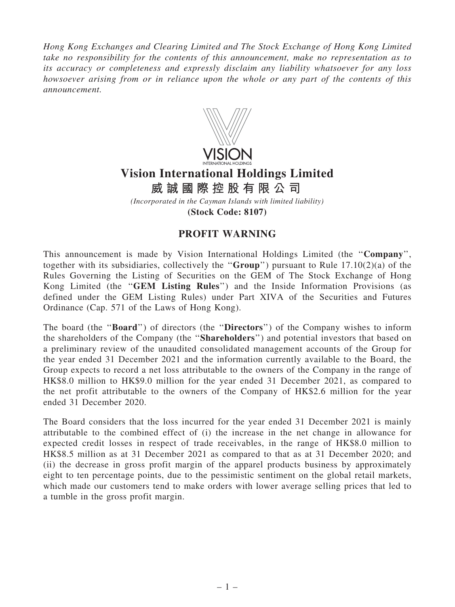*Hong Kong Exchanges and Clearing Limited and The Stock Exchange of Hong Kong Limited take no responsibility for the contents of this announcement, make no representation as to its accuracy or completeness and expressly disclaim any liability whatsoever for any loss howsoever arising from or in reliance upon the whole or any part of the contents of this announcement.*



## **Vision International Holdings Limited**

*(Incorporated in the Cayman Islands with limited liability)* **威 誠 國 際 控 股 有 限 公 司**

**(Stock Code: 8107)**

## PROFIT WARNING

This announcement is made by Vision International Holdings Limited (the ''Company'', together with its subsidiaries, collectively the "Group") pursuant to Rule  $17.10(2)(a)$  of the Rules Governing the Listing of Securities on the GEM of The Stock Exchange of Hong Kong Limited (the "GEM Listing Rules") and the Inside Information Provisions (as defined under the GEM Listing Rules) under Part XIVA of the Securities and Futures Ordinance (Cap. 571 of the Laws of Hong Kong).

The board (the "**Board**") of directors (the "**Directors**") of the Company wishes to inform the shareholders of the Company (the ''Shareholders'') and potential investors that based on a preliminary review of the unaudited consolidated management accounts of the Group for the year ended 31 December 2021 and the information currently available to the Board, the Group expects to record a net loss attributable to the owners of the Company in the range of HK\$8.0 million to HK\$9.0 million for the year ended 31 December 2021, as compared to the net profit attributable to the owners of the Company of HK\$2.6 million for the year ended 31 December 2020.

The Board considers that the loss incurred for the year ended 31 December 2021 is mainly attributable to the combined effect of (i) the increase in the net change in allowance for expected credit losses in respect of trade receivables, in the range of HK\$8.0 million to HK\$8.5 million as at 31 December 2021 as compared to that as at 31 December 2020; and (ii) the decrease in gross profit margin of the apparel products business by approximately eight to ten percentage points, due to the pessimistic sentiment on the global retail markets, which made our customers tend to make orders with lower average selling prices that led to a tumble in the gross profit margin.